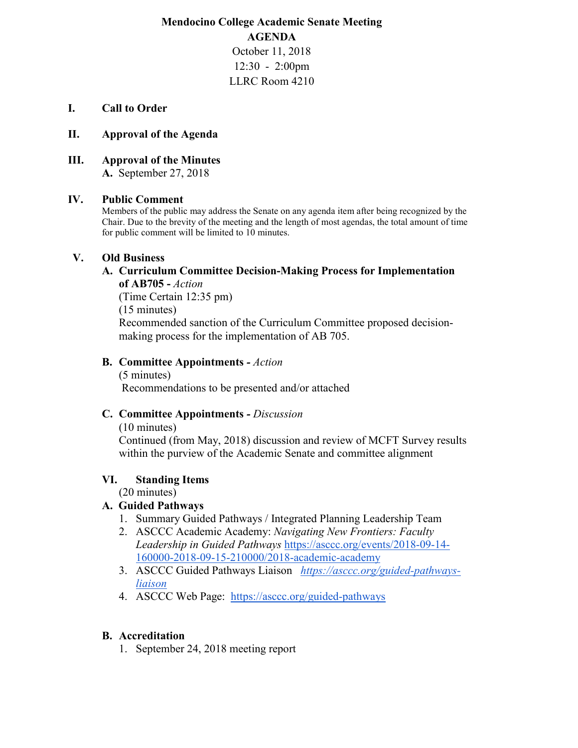**Mendocino College Academic Senate Meeting AGENDA** October 11, 2018 12:30 - 2:00pm

### LLRC Room 4210

#### **I. Call to Order**

#### **II. Approval of the Agenda**

**III. Approval of the Minutes**

**A.** September 27, 2018

### **IV. Public Comment**

Members of the public may address the Senate on any agenda item after being recognized by the Chair. Due to the brevity of the meeting and the length of most agendas, the total amount of time for public comment will be limited to 10 minutes.

### **V. Old Business**

### **A. Curriculum Committee Decision-Making Process for Implementation of AB705 -** *Action*

(Time Certain 12:35 pm) (15 minutes) Recommended sanction of the Curriculum Committee proposed decisionmaking process for the implementation of AB 705.

### **B. Committee Appointments** *- Action*

(5 minutes) Recommendations to be presented and/or attached

### **C. Committee Appointments** *- Discussion*

(10 minutes)

 Continued (from May, 2018) discussion and review of MCFT Survey results within the purview of the Academic Senate and committee alignment

### **VI. Standing Items**

(20 minutes)

### **A. Guided Pathways**

- 1. Summary Guided Pathways / Integrated Planning Leadership Team
- 2. ASCCC Academic Academy: *Navigating New Frontiers: Faculty Leadership in Guided Pathways* [https://asccc.org/events/2018-09-14-](https://asccc.org/events/2018-09-14-160000-2018-09-15-210000/2018-academic-academy) [160000-2018-09-15-210000/2018-academic-academy](https://asccc.org/events/2018-09-14-160000-2018-09-15-210000/2018-academic-academy)
- 3. ASCCC Guided Pathways Liaison *[https://asccc.org/guided-pathways](https://asccc.org/guided-pathways-liaison)[liaison](https://asccc.org/guided-pathways-liaison)*
- 4. ASCCC Web Page: <https://asccc.org/guided-pathways>

### **B. Accreditation**

1. September 24, 2018 meeting report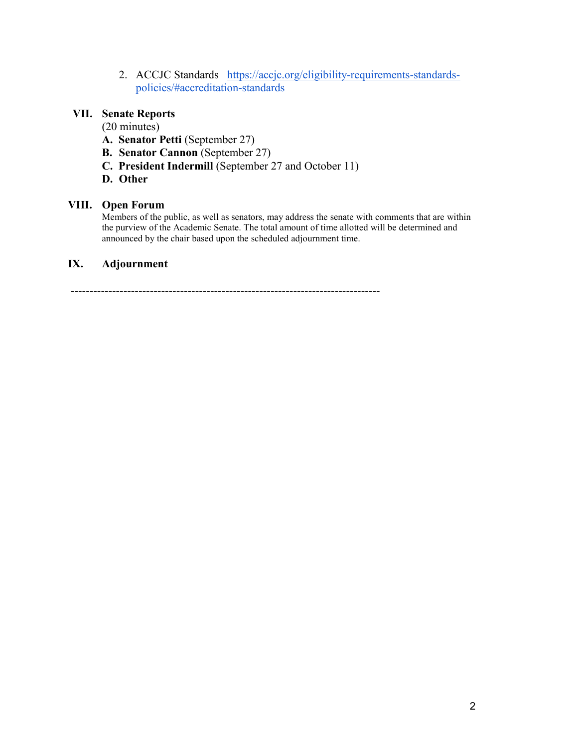2. ACCJC Standards [https://accjc.org/eligibility-requirements-standards](https://accjc.org/eligibility-requirements-standards-policies/#accreditation-standards)[policies/#accreditation-standards](https://accjc.org/eligibility-requirements-standards-policies/#accreditation-standards)

## **VII. Senate Reports**

(20 minutes)

- **A. Senator Petti** (September 27)
- **B. Senator Cannon** (September 27)
- **C. President Indermill** (September 27 and October 11)
- **D. Other**

### **VIII. Open Forum**

Members of the public, as well as senators, may address the senate with comments that are within the purview of the Academic Senate. The total amount of time allotted will be determined and announced by the chair based upon the scheduled adjournment time.

### **IX. Adjournment**

----------------------------------------------------------------------------------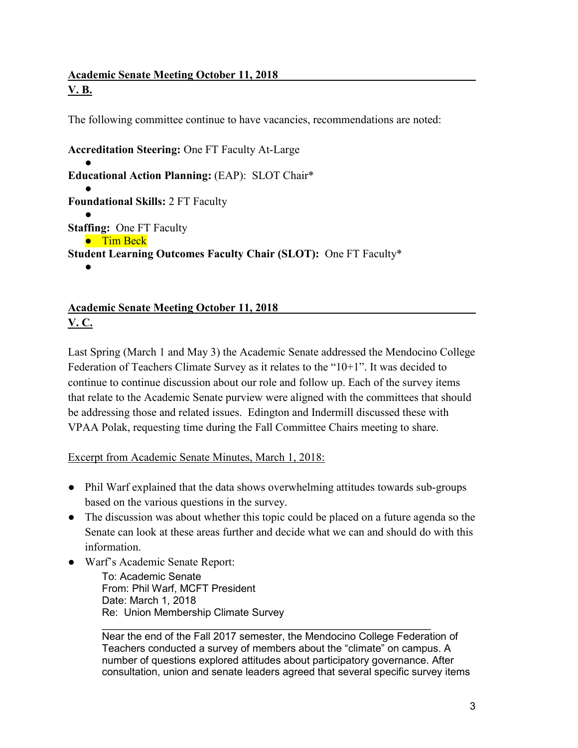# **Academic Senate Meeting October 11, 2018 V. B.**

The following committee continue to have vacancies, recommendations are noted:

**Accreditation Steering:** One FT Faculty At-Large ● **Educational Action Planning:** (EAP): SLOT Chair\* ● **Foundational Skills:** 2 FT Faculty ● **Staffing:** One FT Faculty ● Tim Beck **Student Learning Outcomes Faculty Chair (SLOT):** One FT Faculty\* ●

# **Academic Senate Meeting October 11, 2018 V. C.**

Last Spring (March 1 and May 3) the Academic Senate addressed the Mendocino College Federation of Teachers Climate Survey as it relates to the "10+1". It was decided to continue to continue discussion about our role and follow up. Each of the survey items that relate to the Academic Senate purview were aligned with the committees that should be addressing those and related issues. Edington and Indermill discussed these with VPAA Polak, requesting time during the Fall Committee Chairs meeting to share.

Excerpt from Academic Senate Minutes, March 1, 2018:

- Phil Warf explained that the data shows overwhelming attitudes towards sub-groups based on the various questions in the survey.
- The discussion was about whether this topic could be placed on a future agenda so the Senate can look at these areas further and decide what we can and should do with this information.
- Warf's Academic Senate Report:

To: Academic Senate From: Phil Warf, MCFT President Date: March 1, 2018 Re: Union Membership Climate Survey

 $\mathcal{L}_\text{max}$  , and the contract of the contract of the contract of the contract of the contract of the contract of the contract of the contract of the contract of the contract of the contract of the contract of the contr Near the end of the Fall 2017 semester, the Mendocino College Federation of Teachers conducted a survey of members about the "climate" on campus. A number of questions explored attitudes about participatory governance. After consultation, union and senate leaders agreed that several specific survey items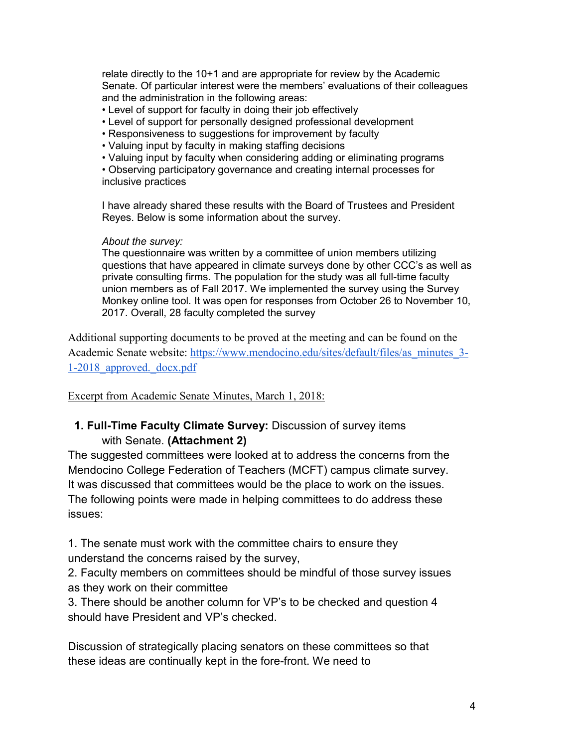relate directly to the 10+1 and are appropriate for review by the Academic Senate. Of particular interest were the members' evaluations of their colleagues and the administration in the following areas:

- Level of support for faculty in doing their job effectively
- Level of support for personally designed professional development
- Responsiveness to suggestions for improvement by faculty
- Valuing input by faculty in making staffing decisions
- Valuing input by faculty when considering adding or eliminating programs

• Observing participatory governance and creating internal processes for inclusive practices

I have already shared these results with the Board of Trustees and President Reyes. Below is some information about the survey.

### *About the survey:*

The questionnaire was written by a committee of union members utilizing questions that have appeared in climate surveys done by other CCC's as well as private consulting firms. The population for the study was all full-time faculty union members as of Fall 2017. We implemented the survey using the Survey Monkey online tool. It was open for responses from October 26 to November 10, 2017. Overall, 28 faculty completed the survey

Additional supporting documents to be proved at the meeting and can be found on the Academic Senate website: [https://www.mendocino.edu/sites/default/files/as\\_minutes\\_3-](https://www.mendocino.edu/sites/default/files/as_minutes_3-1-2018_approved._docx.pdf) [1-2018\\_approved.\\_docx.pdf](https://www.mendocino.edu/sites/default/files/as_minutes_3-1-2018_approved._docx.pdf)

### Excerpt from Academic Senate Minutes, March 1, 2018:

## **1. Full-Time Faculty Climate Survey:** Discussion of survey items with Senate. **(Attachment 2)**

The suggested committees were looked at to address the concerns from the Mendocino College Federation of Teachers (MCFT) campus climate survey. It was discussed that committees would be the place to work on the issues. The following points were made in helping committees to do address these issues:

1. The senate must work with the committee chairs to ensure they

understand the concerns raised by the survey,

2. Faculty members on committees should be mindful of those survey issues as they work on their committee

3. There should be another column for VP's to be checked and question 4 should have President and VP's checked.

Discussion of strategically placing senators on these committees so that these ideas are continually kept in the fore-front. We need to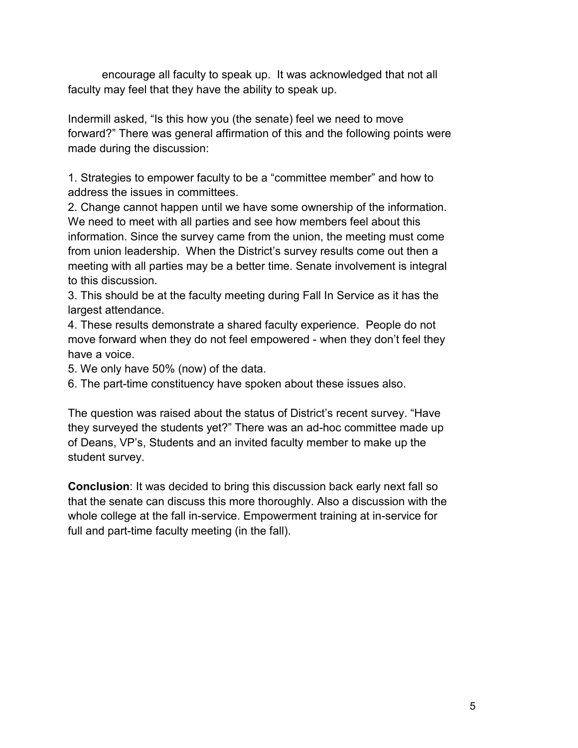encourage all faculty to speak up. It was acknowledged that not all faculty may feel that they have the ability to speak up.

Indermill asked, "Is this how you (the senate) feel we need to move forward?" There was general affirmation of this and the following points were made during the discussion:

1. Strategies to empower faculty to be a "committee member" and how to address the issues in committees.

2. Change cannot happen until we have some ownership of the information. We need to meet with all parties and see how members feel about this information. Since the survey came from the union, the meeting must come from union leadership. When the District's survey results come out then a meeting with all parties may be a better time. Senate involvement is integral to this discussion.

3. This should be at the faculty meeting during Fall In Service as it has the largest attendance.

4. These results demonstrate a shared faculty experience. People do not move forward when they do not feel empowered - when they don't feel they have a voice.

5. We only have 50% (now) of the data.

6. The part-time constituency have spoken about these issues also.

The question was raised about the status of District's recent survey. "Have they surveyed the students yet?" There was an ad-hoc committee made up of Deans, VP's, Students and an invited faculty member to make up the student survey.

**Conclusion**: It was decided to bring this discussion back early next fall so that the senate can discuss this more thoroughly. Also a discussion with the whole college at the fall in-service. Empowerment training at in-service for full and part-time faculty meeting (in the fall).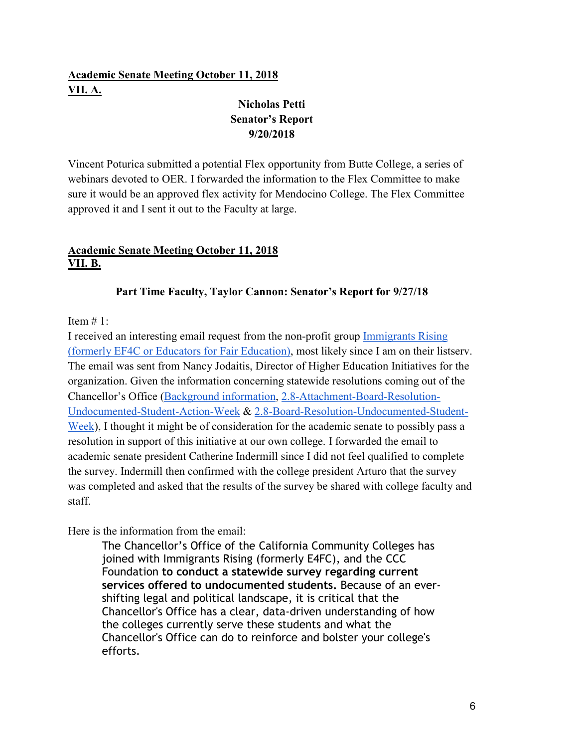# **Academic Senate Meeting October 11, 2018 VII. A.**

# **Nicholas Petti Senator's Report 9/20/2018**

Vincent Poturica submitted a potential Flex opportunity from Butte College, a series of webinars devoted to OER. I forwarded the information to the Flex Committee to make sure it would be an approved flex activity for Mendocino College. The Flex Committee approved it and I sent it out to the Faculty at large.

# **Academic Senate Meeting October 11, 2018 VII. B.**

# **Part Time Faculty, Taylor Cannon: Senator's Report for 9/27/18**

## Item  $# 1$ :

I received an interesting email request from the non-profit grou[p](https://immigrantsrising.org/) [Immigrants Rising](https://immigrantsrising.org/)  [\(formerly EF4C or Educators for Fair Education\),](https://immigrantsrising.org/) most likely since I am on their listserv. The email was sent from Nancy Jodaitis, Director of Higher Education Initiatives for the organization. Given the information concerning statewide resolutions coming out of the Chancellor's Office [\(Background information,](https://extranet.cccco.edu/Portals/1/ExecutiveOffice/Consultation/2018_agendas/September/3.Undocumented-Student-Week-of-Action.pdf) [2.8-Attachment-Board-Resolution-](https://extranet.cccco.edu/Portals/1/ExecutiveOffice/Board/2018_agendas/September/2.8-Attachment-Board-Resolution-Undocumented-Student-Action-Week.pdf)[Undocumented-Student-Action-Week](https://extranet.cccco.edu/Portals/1/ExecutiveOffice/Board/2018_agendas/September/2.8-Attachment-Board-Resolution-Undocumented-Student-Action-Week.pdf) & [2.8-Board-Resolution-Undocumented-Student-](https://extranet.cccco.edu/Portals/1/ExecutiveOffice/Board/2018_agendas/September/2.8-Board-Resolution-Undocumented-Student-Week.pdf)[Week\)](https://extranet.cccco.edu/Portals/1/ExecutiveOffice/Board/2018_agendas/September/2.8-Board-Resolution-Undocumented-Student-Week.pdf), I thought it might be of consideration for the academic senate to possibly pass a resolution in support of this initiative at our own college. I forwarded the email to academic senate president Catherine Indermill since I did not feel qualified to complete the survey. Indermill then confirmed with the college president Arturo that the survey was completed and asked that the results of the survey be shared with college faculty and staff.

Here is the information from the email:

The Chancellor's Office of the California Community Colleges has joined with Immigrants Rising (formerly E4FC), and the CCC Foundation **to conduct a statewide survey regarding current services offered to undocumented students.** Because of an evershifting legal and political landscape, it is critical that the Chancellor's Office has a clear, data-driven understanding of how the colleges currently serve these students and what the Chancellor's Office can do to reinforce and bolster your college's efforts.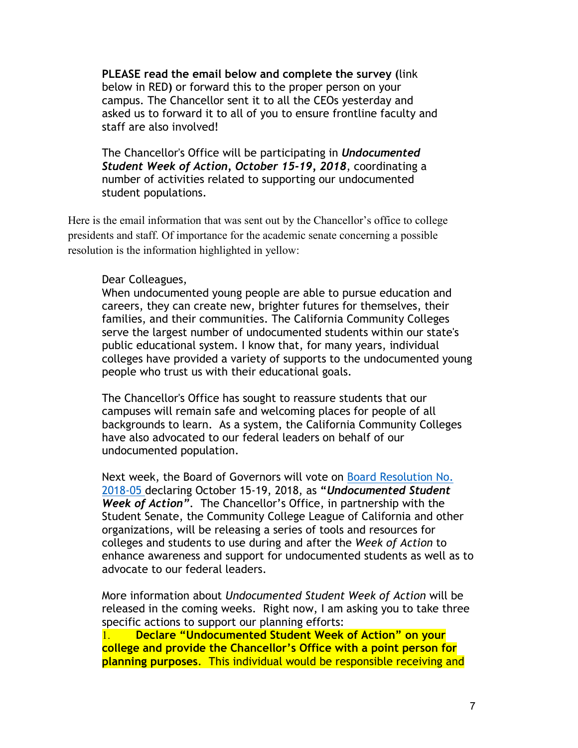**PLEASE read the email below and complete the survey (**link below in RED**)** or forward this to the proper person on your campus. The Chancellor sent it to all the CEOs yesterday and asked us to forward it to all of you to ensure frontline faculty and staff are also involved!

The Chancellor's Office will be participating in *Undocumented Student Week of Action, October 15-19, 2018*, coordinating a number of activities related to supporting our undocumented student populations.

Here is the email information that was sent out by the Chancellor's office to college presidents and staff. Of importance for the academic senate concerning a possible resolution is the information highlighted in yellow:

## Dear Colleagues,

When undocumented young people are able to pursue education and careers, they can create new, brighter futures for themselves, their families, and their communities. The California Community Colleges serve the largest number of undocumented students within our state's public educational system. I know that, for many years, individual colleges have provided a variety of supports to the undocumented young people who trust us with their educational goals.

The Chancellor's Office has sought to reassure students that our campuses will remain safe and welcoming places for people of all backgrounds to learn. As a system, the California Community Colleges have also advocated to our federal leaders on behalf of our undocumented population.

Next week, the Board of Governors will vote o[n](https://linkprotect.cudasvc.com/url?a=https%3a%2f%2fextranet.cccco.edu%2fPortals%2f1%2fExecutiveOffice%2fBoard%2f2018_agendas%2fSeptember%2f2.8-Attachment-Board-Resolution-Undocumented-Student-Action-Week.pdf&c=E,1,_0DWrqqcV-C6v15eKVsKDW0ppcLesujpVGXRQL6KfvIlR6845GJhfNIZB9b_T8NuDmgEiNwubkOlH8tI5k-qpeJxhALovyRo5iyBruJUmCkxw8Swwpfn&typo=1) [Board Resolution No.](https://linkprotect.cudasvc.com/url?a=https%3a%2f%2fextranet.cccco.edu%2fPortals%2f1%2fExecutiveOffice%2fBoard%2f2018_agendas%2fSeptember%2f2.8-Attachment-Board-Resolution-Undocumented-Student-Action-Week.pdf&c=E,1,_0DWrqqcV-C6v15eKVsKDW0ppcLesujpVGXRQL6KfvIlR6845GJhfNIZB9b_T8NuDmgEiNwubkOlH8tI5k-qpeJxhALovyRo5iyBruJUmCkxw8Swwpfn&typo=1)  [2018-05](https://linkprotect.cudasvc.com/url?a=https%3a%2f%2fextranet.cccco.edu%2fPortals%2f1%2fExecutiveOffice%2fBoard%2f2018_agendas%2fSeptember%2f2.8-Attachment-Board-Resolution-Undocumented-Student-Action-Week.pdf&c=E,1,_0DWrqqcV-C6v15eKVsKDW0ppcLesujpVGXRQL6KfvIlR6845GJhfNIZB9b_T8NuDmgEiNwubkOlH8tI5k-qpeJxhALovyRo5iyBruJUmCkxw8Swwpfn&typo=1) declaring October 15-19, 2018, as **"***Undocumented Student Week of Action"*. The Chancellor's Office, in partnership with the Student Senate, the Community College League of California and other organizations, will be releasing a series of tools and resources for colleges and students to use during and after the *Week of Action* to enhance awareness and support for undocumented students as well as to advocate to our federal leaders.

More information about *Undocumented Student Week of Action* will be released in the coming weeks. Right now, I am asking you to take three specific actions to support our planning efforts:

1. **Declare "Undocumented Student Week of Action" on your college and provide the Chancellor's Office with a point person for planning purposes**. This individual would be responsible receiving and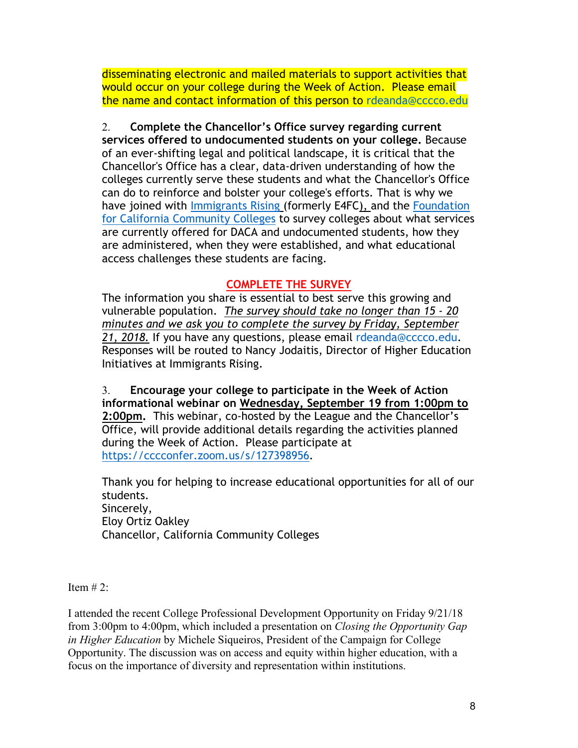disseminating electronic and mailed materials to support activities that would occur on your college during the Week of Action. Please email the name and contact information of this person to rdeanda@cccco.edu

2. **Complete the Chancellor's Office survey regarding current services offered to undocumented students on your college.** Because of an ever-shifting legal and political landscape, it is critical that the Chancellor's Office has a clear, data-driven understanding of how the colleges currently serve these students and what the Chancellor's Office can do to reinforce and bolster your college's efforts. That is why we [h](https://linkprotect.cudasvc.com/url?a=https%3a%2f%2fimmigrantsrising.org%2f&c=E,1,PJJo0WDN3Os_olEoaFMUkLWXuQPFpiIV6n5BSbJe4FaZf3fwEWmC1xrLgRHjsdzcPkuqIAK9VFwRgT1nsaHlTkgk6SyWfPi7KJLyNDgcJl5eDi5z8eqqew9s&typo=1)ave joined with [Immigrants Rising](https://linkprotect.cudasvc.com/url?a=https%3a%2f%2fimmigrantsrising.org%2f&c=E,1,PJJo0WDN3Os_olEoaFMUkLWXuQPFpiIV6n5BSbJe4FaZf3fwEWmC1xrLgRHjsdzcPkuqIAK9VFwRgT1nsaHlTkgk6SyWfPi7KJLyNDgcJl5eDi5z8eqqew9s&typo=1) (formerly E4FC), and the Foundation [for California Community Colleges](https://linkprotect.cudasvc.com/url?a=https%3a%2f%2ffoundationccc.org%2f&c=E,1,m9uWBtXvZM1KLMvQHqGLYm6RG6VQUJLAzchcBJBNNhmn9-xiFskUOe1cOsBoq0iiQljfApuv3gLgGPRr0hyfm9iQFSLZsKaKKuty2sL9tCSvrCWiUwCIJQb7&typo=1) to survey colleges about what services are currently offered for DACA and undocumented students, how they are administered, when they were established, and what educational access challenges these students are facing.

# **[COMPLETE THE SURVEY](https://www.surveymonkey.com/r/JGB8LJV)**

The information you share is essential to best serve this growing and vulnerable population. *The survey should take no longer than 15 - 20 minutes and we ask you to complete the survey by Friday, September 21, 2018.* If you have any questions, please email rdeanda@cccco.edu. Responses will be routed to Nancy Jodaitis, Director of Higher Education Initiatives at Immigrants Rising.

3. **Encourage your college to participate in the Week of Action informational webinar on Wednesday, September 19 from 1:00pm to 2:00pm.** This webinar, co-hosted by the League and the Chancellor's Office, will provide additional details regarding the activities planned during the Week of Action. Please participate a[t](http://email.zoom.us/track/click/30854053/cccconfer.zoom.us?p=eyJzIjoiR1BDcDJMWHdwa1p4ZHhTU2g2cUh3YlFPb1pVIiwidiI6MSwicCI6IntcInVcIjozMDg1NDA1MyxcInZcIjoxLFwidXJsXCI6XCJodHRwczpcXFwvXFxcL2NjY2NvbmZlci56b29tLnVzXFxcL3NcXFwvMTI3Mzk4OTU2XCIsXCJpZFwiOlwiZjE2ZjliOTc3ZmM5NDM3Njk5OTJjNmZlMjY0MjdiOGVcIixcInVybF9pZHNcIjpbXCIwN2I1NzgyZThlNzQxNGZkZWY5OTNiMzU4ODA4ZWZkOWQyOTBjZGExXCJdfSJ9) [https://cccconfer.zoom.us/s/127398956.](http://email.zoom.us/track/click/30854053/cccconfer.zoom.us?p=eyJzIjoiR1BDcDJMWHdwa1p4ZHhTU2g2cUh3YlFPb1pVIiwidiI6MSwicCI6IntcInVcIjozMDg1NDA1MyxcInZcIjoxLFwidXJsXCI6XCJodHRwczpcXFwvXFxcL2NjY2NvbmZlci56b29tLnVzXFxcL3NcXFwvMTI3Mzk4OTU2XCIsXCJpZFwiOlwiZjE2ZjliOTc3ZmM5NDM3Njk5OTJjNmZlMjY0MjdiOGVcIixcInVybF9pZHNcIjpbXCIwN2I1NzgyZThlNzQxNGZkZWY5OTNiMzU4ODA4ZWZkOWQyOTBjZGExXCJdfSJ9)

Thank you for helping to increase educational opportunities for all of our students. Sincerely, Eloy Ortiz Oakley Chancellor, California Community Colleges

Item  $# 2$ :

I attended the recent College Professional Development Opportunity on Friday 9/21/18 from 3:00pm to 4:00pm, which included a presentation on *Closing the Opportunity Gap in Higher Education* by Michele Siqueiros, President of the Campaign for College Opportunity. The discussion was on access and equity within higher education, with a focus on the importance of diversity and representation within institutions.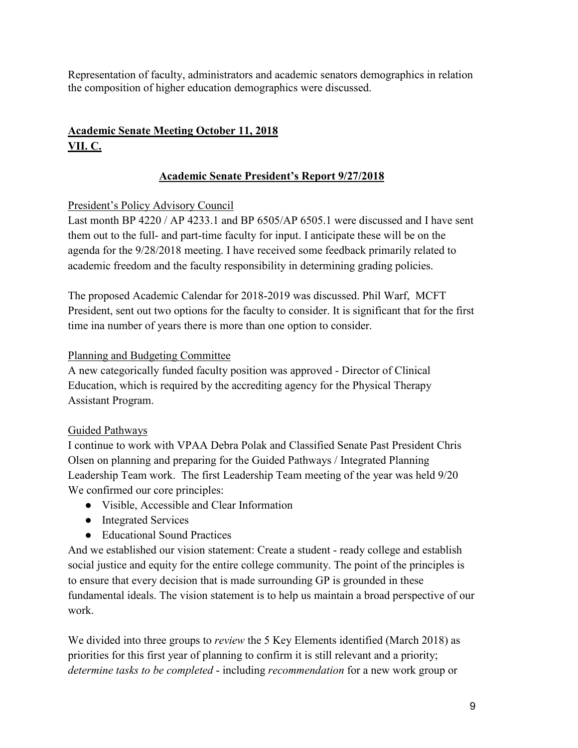Representation of faculty, administrators and academic senators demographics in relation the composition of higher education demographics were discussed.

# **Academic Senate Meeting October 11, 2018 VII. C.**

# **Academic Senate President's Report 9/27/2018**

## President's Policy Advisory Council

Last month BP 4220 / AP 4233.1 and BP 6505/AP 6505.1 were discussed and I have sent them out to the full- and part-time faculty for input. I anticipate these will be on the agenda for the 9/28/2018 meeting. I have received some feedback primarily related to academic freedom and the faculty responsibility in determining grading policies.

The proposed Academic Calendar for 2018-2019 was discussed. Phil Warf, MCFT President, sent out two options for the faculty to consider. It is significant that for the first time ina number of years there is more than one option to consider.

## Planning and Budgeting Committee

A new categorically funded faculty position was approved - Director of Clinical Education, which is required by the accrediting agency for the Physical Therapy Assistant Program.

## Guided Pathways

I continue to work with VPAA Debra Polak and Classified Senate Past President Chris Olsen on planning and preparing for the Guided Pathways / Integrated Planning Leadership Team work. The first Leadership Team meeting of the year was held 9/20 We confirmed our core principles:

- Visible, Accessible and Clear Information
- Integrated Services
- Educational Sound Practices

And we established our vision statement: Create a student - ready college and establish social justice and equity for the entire college community. The point of the principles is to ensure that every decision that is made surrounding GP is grounded in these fundamental ideals. The vision statement is to help us maintain a broad perspective of our work.

We divided into three groups to *review* the 5 Key Elements identified (March 2018) as priorities for this first year of planning to confirm it is still relevant and a priority; *determine tasks to be completed* - including *recommendation* for a new work group or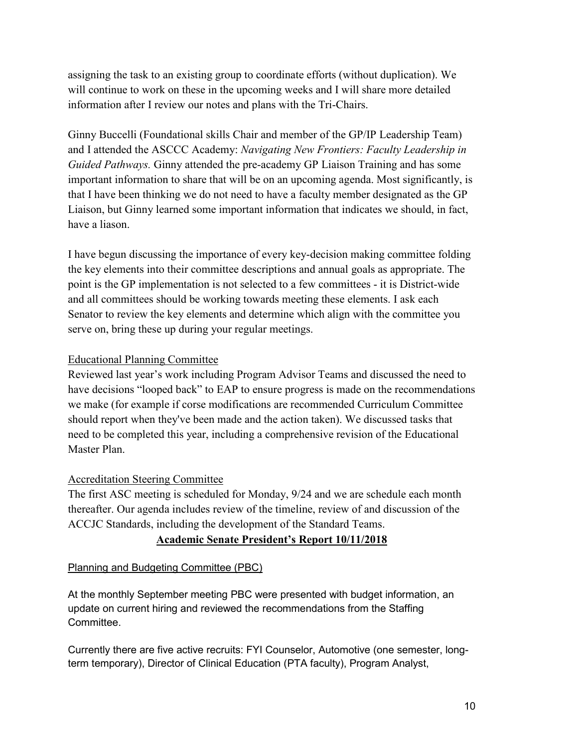assigning the task to an existing group to coordinate efforts (without duplication). We will continue to work on these in the upcoming weeks and I will share more detailed information after I review our notes and plans with the Tri-Chairs.

Ginny Buccelli (Foundational skills Chair and member of the GP/IP Leadership Team) and I attended the ASCCC Academy: *Navigating New Frontiers: Faculty Leadership in Guided Pathways.* Ginny attended the pre-academy GP Liaison Training and has some important information to share that will be on an upcoming agenda. Most significantly, is that I have been thinking we do not need to have a faculty member designated as the GP Liaison, but Ginny learned some important information that indicates we should, in fact, have a liason.

I have begun discussing the importance of every key-decision making committee folding the key elements into their committee descriptions and annual goals as appropriate. The point is the GP implementation is not selected to a few committees - it is District-wide and all committees should be working towards meeting these elements. I ask each Senator to review the key elements and determine which align with the committee you serve on, bring these up during your regular meetings.

## Educational Planning Committee

Reviewed last year's work including Program Advisor Teams and discussed the need to have decisions "looped back" to EAP to ensure progress is made on the recommendations we make (for example if corse modifications are recommended Curriculum Committee should report when they've been made and the action taken). We discussed tasks that need to be completed this year, including a comprehensive revision of the Educational Master Plan.

# Accreditation Steering Committee

The first ASC meeting is scheduled for Monday, 9/24 and we are schedule each month thereafter. Our agenda includes review of the timeline, review of and discussion of the ACCJC Standards, including the development of the Standard Teams.

# **Academic Senate President's Report 10/11/2018**

## Planning and Budgeting Committee (PBC)

At the monthly September meeting PBC were presented with budget information, an update on current hiring and reviewed the recommendations from the Staffing Committee.

Currently there are five active recruits: FYI Counselor, Automotive (one semester, longterm temporary), Director of Clinical Education (PTA faculty), Program Analyst,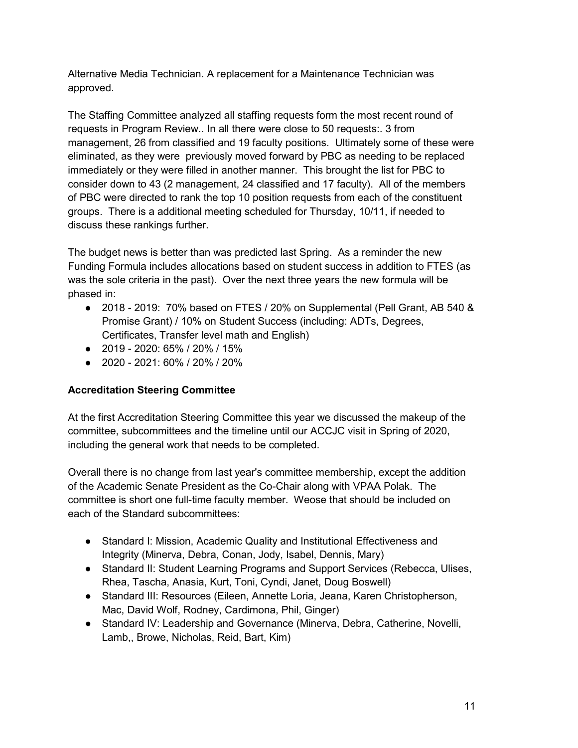Alternative Media Technician. A replacement for a Maintenance Technician was approved.

The Staffing Committee analyzed all staffing requests form the most recent round of requests in Program Review.. In all there were close to 50 requests:. 3 from management, 26 from classified and 19 faculty positions. Ultimately some of these were eliminated, as they were previously moved forward by PBC as needing to be replaced immediately or they were filled in another manner. This brought the list for PBC to consider down to 43 (2 management, 24 classified and 17 faculty). All of the members of PBC were directed to rank the top 10 position requests from each of the constituent groups. There is a additional meeting scheduled for Thursday, 10/11, if needed to discuss these rankings further.

The budget news is better than was predicted last Spring. As a reminder the new Funding Formula includes allocations based on student success in addition to FTES (as was the sole criteria in the past). Over the next three years the new formula will be phased in:

- 2018 2019: 70% based on FTES / 20% on Supplemental (Pell Grant, AB 540 & Promise Grant) / 10% on Student Success (including: ADTs, Degrees, Certificates, Transfer level math and English)
- 2019 2020: 65% / 20% / 15%
- 2020 2021: 60% / 20% / 20%

## **Accreditation Steering Committee**

At the first Accreditation Steering Committee this year we discussed the makeup of the committee, subcommittees and the timeline until our ACCJC visit in Spring of 2020, including the general work that needs to be completed.

Overall there is no change from last year's committee membership, except the addition of the Academic Senate President as the Co-Chair along with VPAA Polak. The committee is short one full-time faculty member. Weose that should be included on each of the Standard subcommittees:

- Standard I: Mission, Academic Quality and Institutional Effectiveness and Integrity (Minerva, Debra, Conan, Jody, Isabel, Dennis, Mary)
- Standard II: Student Learning Programs and Support Services (Rebecca, Ulises, Rhea, Tascha, Anasia, Kurt, Toni, Cyndi, Janet, Doug Boswell)
- Standard III: Resources (Eileen, Annette Loria, Jeana, Karen Christopherson, Mac, David Wolf, Rodney, Cardimona, Phil, Ginger)
- Standard IV: Leadership and Governance (Minerva, Debra, Catherine, Novelli, Lamb,, Browe, Nicholas, Reid, Bart, Kim)